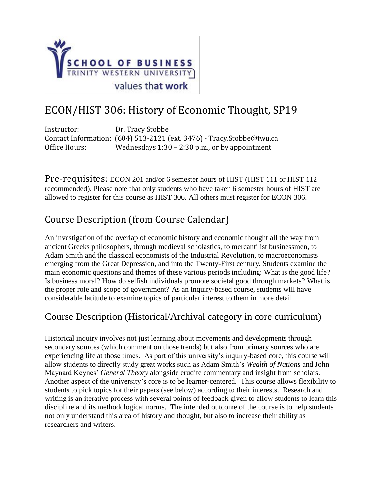

# ECON/HIST 306: History of Economic Thought, SP19

| Instructor:   | Dr. Tracy Stobbe                                                       |
|---------------|------------------------------------------------------------------------|
|               | Contact Information: (604) 513-2121 (ext. 3476) - Tracy. Stobbe@twu.ca |
| Office Hours: | Wednesdays $1:30 - 2:30$ p.m., or by appointment                       |

Pre-requisites: ECON 201 and/or 6 semester hours of HIST (HIST 111 or HIST 112 recommended). Please note that only students who have taken 6 semester hours of HIST are allowed to register for this course as HIST 306. All others must register for ECON 306.

## Course Description (from Course Calendar)

An investigation of the overlap of economic history and economic thought all the way from ancient Greeks philosophers, through medieval scholastics, to mercantilist businessmen, to Adam Smith and the classical economists of the Industrial Revolution, to macroeconomists emerging from the Great Depression, and into the Twenty-First century. Students examine the main economic questions and themes of these various periods including: What is the good life? Is business moral? How do selfish individuals promote societal good through markets? What is the proper role and scope of government? As an inquiry-based course, students will have considerable latitude to examine topics of particular interest to them in more detail.

### Course Description (Historical/Archival category in core curriculum)

Historical inquiry involves not just learning about movements and developments through secondary sources (which comment on those trends) but also from primary sources who are experiencing life at those times. As part of this university's inquiry-based core, this course will allow students to directly study great works such as Adam Smith's *Wealth of Nations* and John Maynard Keynes' *General Theory* alongside erudite commentary and insight from scholars. Another aspect of the university's core is to be learner-centered. This course allows flexibility to students to pick topics for their papers (see below) according to their interests. Research and writing is an iterative process with several points of feedback given to allow students to learn this discipline and its methodological norms. The intended outcome of the course is to help students not only understand this area of history and thought, but also to increase their ability as researchers and writers.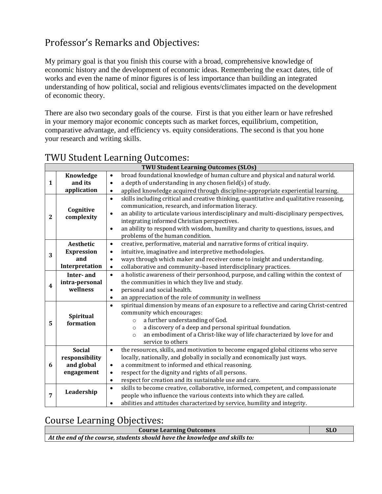## Professor's Remarks and Objectives:

My primary goal is that you finish this course with a broad, comprehensive knowledge of economic history and the development of economic ideas. Remembering the exact dates, title of works and even the name of minor figures is of less importance than building an integrated understanding of how political, social and religious events/climates impacted on the development of economic theory.

There are also two secondary goals of the course. First is that you either learn or have refreshed in your memory major economic concepts such as market forces, equilibrium, competition, comparative advantage, and efficiency vs. equity considerations. The second is that you hone your research and writing skills.

|                         | <b>TWU Student Learning Outcomes (SLOs)</b>                 |                                                                                                                                                                                                                                                                                                                                                                                                                                                           |  |  |  |
|-------------------------|-------------------------------------------------------------|-----------------------------------------------------------------------------------------------------------------------------------------------------------------------------------------------------------------------------------------------------------------------------------------------------------------------------------------------------------------------------------------------------------------------------------------------------------|--|--|--|
| $\mathbf{1}$            | Knowledge                                                   | broad foundational knowledge of human culture and physical and natural world.<br>$\bullet$                                                                                                                                                                                                                                                                                                                                                                |  |  |  |
|                         | and its                                                     | a depth of understanding in any chosen field(s) of study.<br>$\bullet$                                                                                                                                                                                                                                                                                                                                                                                    |  |  |  |
|                         | application                                                 | applied knowledge acquired through discipline-appropriate experiential learning.<br>$\bullet$                                                                                                                                                                                                                                                                                                                                                             |  |  |  |
| $\mathbf{2}$            | Cognitive<br>complexity                                     | skills including critical and creative thinking, quantitative and qualitative reasoning,<br>$\bullet$<br>communication, research, and information literacy.<br>an ability to articulate various interdisciplinary and multi-disciplinary perspectives,<br>$\bullet$<br>integrating informed Christian perspectives.<br>an ability to respond with wisdom, humility and charity to questions, issues, and<br>$\bullet$<br>problems of the human condition. |  |  |  |
| 3                       | Aesthetic<br><b>Expression</b><br>and<br>Interpretation     | creative, performative, material and narrative forms of critical inquiry.<br>$\bullet$<br>intuitive, imaginative and interpretive methodologies.<br>$\bullet$<br>ways through which maker and receiver come to insight and understanding.<br>$\bullet$<br>collaborative and community-based interdisciplinary practices.<br>$\bullet$                                                                                                                     |  |  |  |
| $\overline{\mathbf{4}}$ | Inter-and<br>intra-personal<br>wellness                     | a holistic awareness of their personhood, purpose, and calling within the context of<br>$\bullet$<br>the communities in which they live and study.<br>personal and social health.<br>$\bullet$<br>an appreciation of the role of community in wellness<br>$\bullet$                                                                                                                                                                                       |  |  |  |
| 5                       | Spiritual<br>formation                                      | spiritual dimension by means of an exposure to a reflective and caring Christ-centred<br>$\bullet$<br>community which encourages:<br>a further understanding of God.<br>$\circ$<br>a discovery of a deep and personal spiritual foundation.<br>$\circ$<br>an embodiment of a Christ-like way of life characterized by love for and<br>$\circ$<br>service to others                                                                                        |  |  |  |
| 6                       | <b>Social</b><br>responsibility<br>and global<br>engagement | the resources, skills, and motivation to become engaged global citizens who serve<br>$\bullet$<br>locally, nationally, and globally in socially and economically just ways.<br>a commitment to informed and ethical reasoning.<br>$\bullet$<br>respect for the dignity and rights of all persons.<br>$\bullet$<br>respect for creation and its sustainable use and care.<br>$\bullet$                                                                     |  |  |  |
| $\overline{7}$          | Leadership                                                  | skills to become creative, collaborative, informed, competent, and compassionate<br>$\bullet$<br>people who influence the various contexts into which they are called.<br>abilities and attitudes characterized by service, humility and integrity.<br>$\bullet$                                                                                                                                                                                          |  |  |  |

### TWU Student Learning Outcomes:

### Course Learning Objectives:

| <b>Course Learning Outcomes</b>                                             | <b>SLO</b> |
|-----------------------------------------------------------------------------|------------|
| At the end of the course, students should have the knowledge and skills to: |            |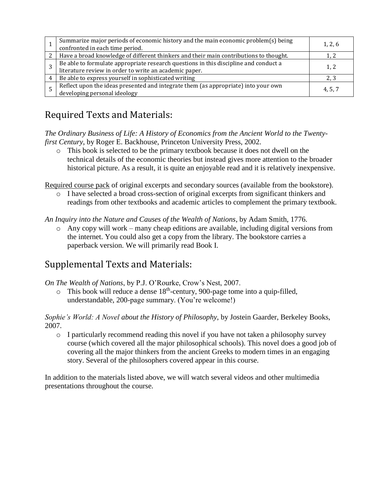| Summarize major periods of economic history and the main economic problem(s) being<br>confronted in each time period.                          | 1, 2, 6 |
|------------------------------------------------------------------------------------------------------------------------------------------------|---------|
| Have a broad knowledge of different thinkers and their main contributions to thought.                                                          |         |
| Be able to formulate appropriate research questions in this discipline and conduct a<br>literature review in order to write an academic paper. | 1. 2    |
| Be able to express yourself in sophisticated writing                                                                                           |         |
| Reflect upon the ideas presented and integrate them (as appropriate) into your own<br>developing personal ideology                             | 4, 5, 7 |

## Required Texts and Materials:

*The Ordinary Business of Life: A History of Economics from the Ancient World to the Twentyfirst Century*, by Roger E. Backhouse, Princeton University Press, 2002.

o This book is selected to be the primary textbook because it does not dwell on the technical details of the economic theories but instead gives more attention to the broader historical picture. As a result, it is quite an enjoyable read and it is relatively inexpensive.

Required course pack of original excerpts and secondary sources (available from the bookstore).

o I have selected a broad cross-section of original excerpts from significant thinkers and readings from other textbooks and academic articles to complement the primary textbook.

*An Inquiry into the Nature and Causes of the Wealth of Nations*, by Adam Smith, 1776.

o Any copy will work – many cheap editions are available, including digital versions from the internet. You could also get a copy from the library. The bookstore carries a paperback version. We will primarily read Book I.

## Supplemental Texts and Materials:

*On The Wealth of Nations*, by P.J. O'Rourke, Crow's Nest, 2007.

 $\circ$  This book will reduce a dense 18<sup>th</sup>-century, 900-page tome into a quip-filled, understandable, 200-page summary. (You're welcome!)

*Sophie's World: A Novel about the History of Philosophy*, by Jostein Gaarder, Berkeley Books, 2007.

 $\circ$  I particularly recommend reading this novel if you have not taken a philosophy survey course (which covered all the major philosophical schools). This novel does a good job of covering all the major thinkers from the ancient Greeks to modern times in an engaging story. Several of the philosophers covered appear in this course.

In addition to the materials listed above, we will watch several videos and other multimedia presentations throughout the course.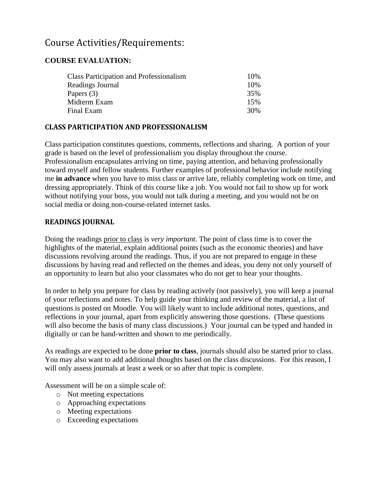### Course Activities/Requirements:

#### **COURSE EVALUATION:**

| <b>Class Participation and Professionalism</b> | 10% |
|------------------------------------------------|-----|
| Readings Journal                               | 10% |
| Papers $(3)$                                   | 35% |
| Midterm Exam                                   | 15% |
| Final Exam                                     | 30% |

#### **CLASS PARTICIPATION AND PROFESSIONALISM**

Class participation constitutes questions, comments, reflections and sharing. A portion of your grade is based on the level of professionalism you display throughout the course. Professionalism encapsulates arriving on time, paying attention, and behaving professionally toward myself and fellow students. Further examples of professional behavior include notifying me **in advance** when you have to miss class or arrive late, reliably completing work on time, and dressing appropriately. Think of this course like a job. You would not fail to show up for work without notifying your boss, you would not talk during a meeting, and you would not be on social media or doing non-course-related internet tasks.

#### **READINGS JOURNAL**

Doing the readings prior to class is *very important*. The point of class time is to cover the highlights of the material, explain additional points (such as the economic theories) and have discussions revolving around the readings. Thus, if you are not prepared to engage in these discussions by having read and reflected on the themes and ideas, you deny not only yourself of an opportunity to learn but also your classmates who do not get to hear your thoughts.

In order to help you prepare for class by reading actively (not passively), you will keep a journal of your reflections and notes. To help guide your thinking and review of the material, a list of questions is posted on Moodle. You will likely want to include additional notes, questions, and reflections in your journal, apart from explicitly answering those questions. (These questions will also become the basis of many class discussions.) Your journal can be typed and handed in digitally or can be hand-written and shown to me periodically.

As readings are expected to be done **prior to class**, journals should also be started prior to class. You may also want to add additional thoughts based on the class discussions. For this reason, I will only assess journals at least a week or so after that topic is complete.

Assessment will be on a simple scale of:

- o Not meeting expectations
- o Approaching expectations
- o Meeting expectations
- o Exceeding expectations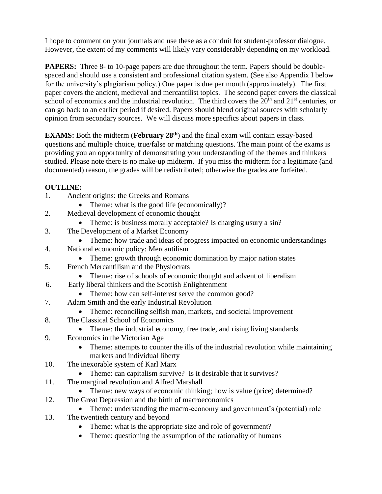I hope to comment on your journals and use these as a conduit for student-professor dialogue. However, the extent of my comments will likely vary considerably depending on my workload.

**PAPERS:** Three 8- to 10-page papers are due throughout the term. Papers should be doublespaced and should use a consistent and professional citation system. (See also Appendix I below for the university's plagiarism policy.) One paper is due per month (approximately). The first paper covers the ancient, medieval and mercantilist topics. The second paper covers the classical school of economics and the industrial revolution. The third covers the  $20<sup>th</sup>$  and  $21<sup>st</sup>$  centuries, or can go back to an earlier period if desired. Papers should blend original sources with scholarly opinion from secondary sources. We will discuss more specifics about papers in class.

**EXAMS:** Both the midterm (February 28<sup>th</sup>) and the final exam will contain essay-based questions and multiple choice, true/false or matching questions. The main point of the exams is providing you an opportunity of demonstrating your understanding of the themes and thinkers studied. Please note there is no make-up midterm. If you miss the midterm for a legitimate (and documented) reason, the grades will be redistributed; otherwise the grades are forfeited.

#### **OUTLINE:**

- 1. Ancient origins: the Greeks and Romans
	- Theme: what is the good life (economically)?
- 2. Medieval development of economic thought
	- Theme: is business morally acceptable? Is charging usury a sin?
- 3. The Development of a Market Economy
	- Theme: how trade and ideas of progress impacted on economic understandings
- 4. National economic policy: Mercantilism
	- Theme: growth through economic domination by major nation states
- 5. French Mercantilism and the Physiocrats
	- Theme: rise of schools of economic thought and advent of liberalism
- 6. Early liberal thinkers and the Scottish Enlightenment
	- Theme: how can self-interest serve the common good?
- 7. Adam Smith and the early Industrial Revolution
	- Theme: reconciling selfish man, markets, and societal improvement
- 8. The Classical School of Economics
	- Theme: the industrial economy, free trade, and rising living standards
- 9. Economics in the Victorian Age
	- Theme: attempts to counter the ills of the industrial revolution while maintaining markets and individual liberty
- 10. The inexorable system of Karl Marx
	- Theme: can capitalism survive? Is it desirable that it survives?
- 11. The marginal revolution and Alfred Marshall
	- Theme: new ways of economic thinking; how is value (price) determined?
- 12. The Great Depression and the birth of macroeconomics
	- Theme: understanding the macro-economy and government's (potential) role
- 13. The twentieth century and beyond
	- Theme: what is the appropriate size and role of government?
	- Theme: questioning the assumption of the rationality of humans